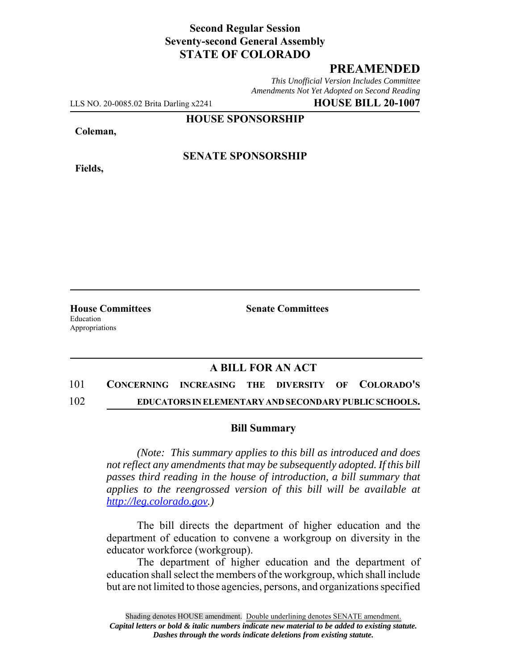## **Second Regular Session Seventy-second General Assembly STATE OF COLORADO**

## **PREAMENDED**

*This Unofficial Version Includes Committee Amendments Not Yet Adopted on Second Reading*

LLS NO. 20-0085.02 Brita Darling x2241 **HOUSE BILL 20-1007**

**HOUSE SPONSORSHIP**

**Coleman,**

**Fields,**

**SENATE SPONSORSHIP**

**House Committees Senate Committees** Education Appropriations

### **A BILL FOR AN ACT**

# 101 **CONCERNING INCREASING THE DIVERSITY OF COLORADO'S** 102 **EDUCATORS IN ELEMENTARY AND SECONDARY PUBLIC SCHOOLS.**

#### **Bill Summary**

*(Note: This summary applies to this bill as introduced and does not reflect any amendments that may be subsequently adopted. If this bill passes third reading in the house of introduction, a bill summary that applies to the reengrossed version of this bill will be available at http://leg.colorado.gov.)*

The bill directs the department of higher education and the department of education to convene a workgroup on diversity in the educator workforce (workgroup).

The department of higher education and the department of education shall select the members of the workgroup, which shall include but are not limited to those agencies, persons, and organizations specified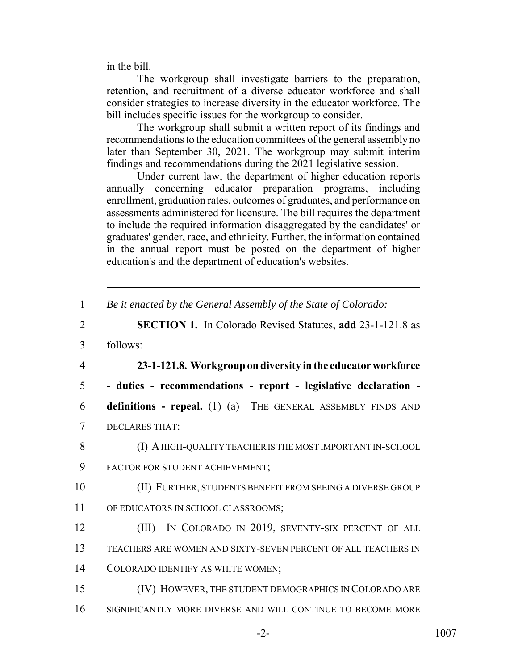in the bill.

The workgroup shall investigate barriers to the preparation, retention, and recruitment of a diverse educator workforce and shall consider strategies to increase diversity in the educator workforce. The bill includes specific issues for the workgroup to consider.

The workgroup shall submit a written report of its findings and recommendations to the education committees of the general assembly no later than September 30, 2021. The workgroup may submit interim findings and recommendations during the 2021 legislative session.

Under current law, the department of higher education reports annually concerning educator preparation programs, including enrollment, graduation rates, outcomes of graduates, and performance on assessments administered for licensure. The bill requires the department to include the required information disaggregated by the candidates' or graduates' gender, race, and ethnicity. Further, the information contained in the annual report must be posted on the department of higher education's and the department of education's websites.

1 *Be it enacted by the General Assembly of the State of Colorado:*

- 2 **SECTION 1.** In Colorado Revised Statutes, **add** 23-1-121.8 as
- 3 follows:
- 

4 **23-1-121.8. Workgroup on diversity in the educator workforce**

5 **- duties - recommendations - report - legislative declaration -**

6 **definitions - repeal.** (1) (a) THE GENERAL ASSEMBLY FINDS AND 7 DECLARES THAT:

8 (I) A HIGH-QUALITY TEACHER IS THE MOST IMPORTANT IN-SCHOOL

- 9 FACTOR FOR STUDENT ACHIEVEMENT;
- 10 (II) FURTHER, STUDENTS BENEFIT FROM SEEING A DIVERSE GROUP
- 11 OF EDUCATORS IN SCHOOL CLASSROOMS;
- 12 (III) IN COLORADO IN 2019, SEVENTY-SIX PERCENT OF ALL 13 TEACHERS ARE WOMEN AND SIXTY-SEVEN PERCENT OF ALL TEACHERS IN 14 COLORADO IDENTIFY AS WHITE WOMEN;
- 15 (IV) HOWEVER, THE STUDENT DEMOGRAPHICS IN COLORADO ARE
- 16 SIGNIFICANTLY MORE DIVERSE AND WILL CONTINUE TO BECOME MORE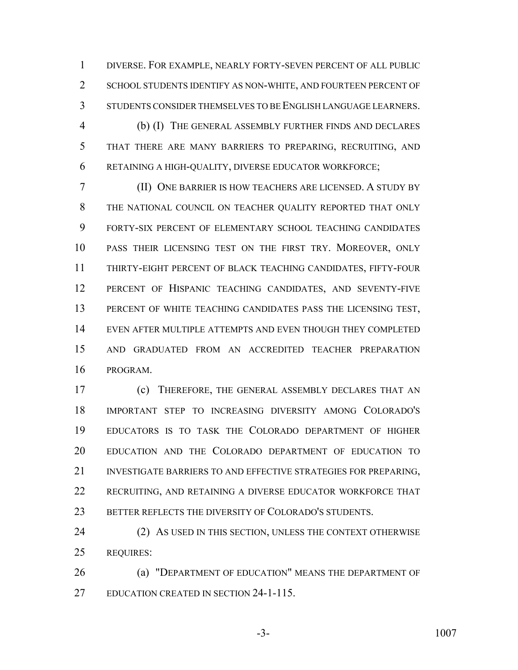DIVERSE. FOR EXAMPLE, NEARLY FORTY-SEVEN PERCENT OF ALL PUBLIC SCHOOL STUDENTS IDENTIFY AS NON-WHITE, AND FOURTEEN PERCENT OF STUDENTS CONSIDER THEMSELVES TO BE ENGLISH LANGUAGE LEARNERS.

 (b) (I) THE GENERAL ASSEMBLY FURTHER FINDS AND DECLARES THAT THERE ARE MANY BARRIERS TO PREPARING, RECRUITING, AND RETAINING A HIGH-QUALITY, DIVERSE EDUCATOR WORKFORCE;

 (II) ONE BARRIER IS HOW TEACHERS ARE LICENSED. A STUDY BY THE NATIONAL COUNCIL ON TEACHER QUALITY REPORTED THAT ONLY FORTY-SIX PERCENT OF ELEMENTARY SCHOOL TEACHING CANDIDATES PASS THEIR LICENSING TEST ON THE FIRST TRY. MOREOVER, ONLY THIRTY-EIGHT PERCENT OF BLACK TEACHING CANDIDATES, FIFTY-FOUR PERCENT OF HISPANIC TEACHING CANDIDATES, AND SEVENTY-FIVE PERCENT OF WHITE TEACHING CANDIDATES PASS THE LICENSING TEST, EVEN AFTER MULTIPLE ATTEMPTS AND EVEN THOUGH THEY COMPLETED AND GRADUATED FROM AN ACCREDITED TEACHER PREPARATION PROGRAM.

 (c) THEREFORE, THE GENERAL ASSEMBLY DECLARES THAT AN IMPORTANT STEP TO INCREASING DIVERSITY AMONG COLORADO'S EDUCATORS IS TO TASK THE COLORADO DEPARTMENT OF HIGHER EDUCATION AND THE COLORADO DEPARTMENT OF EDUCATION TO 21 INVESTIGATE BARRIERS TO AND EFFECTIVE STRATEGIES FOR PREPARING. RECRUITING, AND RETAINING A DIVERSE EDUCATOR WORKFORCE THAT 23 BETTER REFLECTS THE DIVERSITY OF COLORADO'S STUDENTS.

24 (2) AS USED IN THIS SECTION, UNLESS THE CONTEXT OTHERWISE REQUIRES:

**(a) "DEPARTMENT OF EDUCATION" MEANS THE DEPARTMENT OF** EDUCATION CREATED IN SECTION 24-1-115.

-3- 1007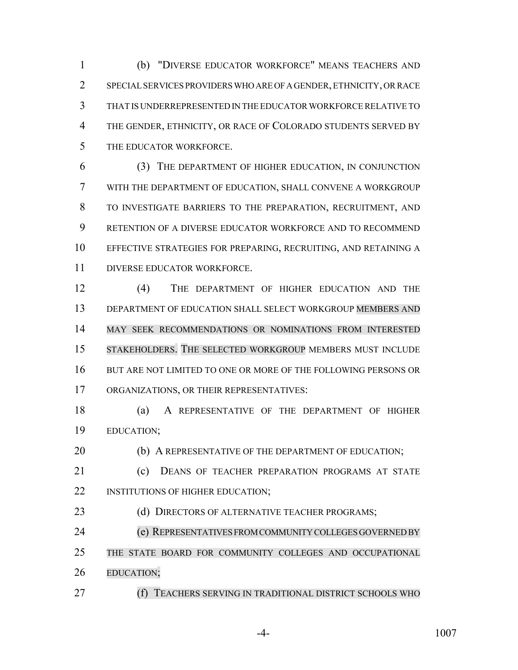(b) "DIVERSE EDUCATOR WORKFORCE" MEANS TEACHERS AND SPECIAL SERVICES PROVIDERS WHO ARE OF A GENDER, ETHNICITY, OR RACE THAT IS UNDERREPRESENTED IN THE EDUCATOR WORKFORCE RELATIVE TO THE GENDER, ETHNICITY, OR RACE OF COLORADO STUDENTS SERVED BY THE EDUCATOR WORKFORCE.

 (3) THE DEPARTMENT OF HIGHER EDUCATION, IN CONJUNCTION WITH THE DEPARTMENT OF EDUCATION, SHALL CONVENE A WORKGROUP TO INVESTIGATE BARRIERS TO THE PREPARATION, RECRUITMENT, AND RETENTION OF A DIVERSE EDUCATOR WORKFORCE AND TO RECOMMEND EFFECTIVE STRATEGIES FOR PREPARING, RECRUITING, AND RETAINING A DIVERSE EDUCATOR WORKFORCE.

 (4) THE DEPARTMENT OF HIGHER EDUCATION AND THE DEPARTMENT OF EDUCATION SHALL SELECT WORKGROUP MEMBERS AND MAY SEEK RECOMMENDATIONS OR NOMINATIONS FROM INTERESTED STAKEHOLDERS. THE SELECTED WORKGROUP MEMBERS MUST INCLUDE BUT ARE NOT LIMITED TO ONE OR MORE OF THE FOLLOWING PERSONS OR ORGANIZATIONS, OR THEIR REPRESENTATIVES:

 (a) A REPRESENTATIVE OF THE DEPARTMENT OF HIGHER EDUCATION;

20 (b) A REPRESENTATIVE OF THE DEPARTMENT OF EDUCATION;

21 (c) DEANS OF TEACHER PREPARATION PROGRAMS AT STATE 22 INSTITUTIONS OF HIGHER EDUCATION;

23 (d) DIRECTORS OF ALTERNATIVE TEACHER PROGRAMS;

(e) REPRESENTATIVES FROM COMMUNITY COLLEGES GOVERNED BY

 THE STATE BOARD FOR COMMUNITY COLLEGES AND OCCUPATIONAL EDUCATION;

(f) TEACHERS SERVING IN TRADITIONAL DISTRICT SCHOOLS WHO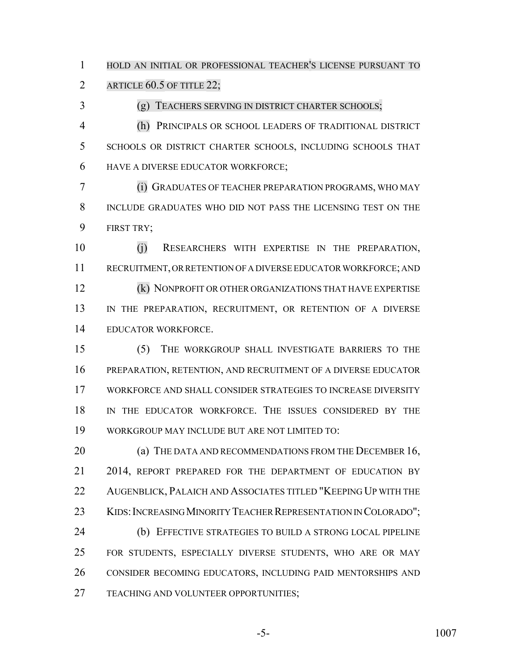HOLD AN INITIAL OR PROFESSIONAL TEACHER'S LICENSE PURSUANT TO

2 ARTICLE 60.5 OF TITLE 22;

(g) TEACHERS SERVING IN DISTRICT CHARTER SCHOOLS;

 (h) PRINCIPALS OR SCHOOL LEADERS OF TRADITIONAL DISTRICT SCHOOLS OR DISTRICT CHARTER SCHOOLS, INCLUDING SCHOOLS THAT HAVE A DIVERSE EDUCATOR WORKFORCE;

 (i) GRADUATES OF TEACHER PREPARATION PROGRAMS, WHO MAY INCLUDE GRADUATES WHO DID NOT PASS THE LICENSING TEST ON THE FIRST TRY;

 (j) RESEARCHERS WITH EXPERTISE IN THE PREPARATION, RECRUITMENT, OR RETENTION OF A DIVERSE EDUCATOR WORKFORCE; AND (k) NONPROFIT OR OTHER ORGANIZATIONS THAT HAVE EXPERTISE 13 IN THE PREPARATION, RECRUITMENT, OR RETENTION OF A DIVERSE EDUCATOR WORKFORCE.

 (5) THE WORKGROUP SHALL INVESTIGATE BARRIERS TO THE PREPARATION, RETENTION, AND RECRUITMENT OF A DIVERSE EDUCATOR WORKFORCE AND SHALL CONSIDER STRATEGIES TO INCREASE DIVERSITY IN THE EDUCATOR WORKFORCE. THE ISSUES CONSIDERED BY THE WORKGROUP MAY INCLUDE BUT ARE NOT LIMITED TO:

**(a) THE DATA AND RECOMMENDATIONS FROM THE DECEMBER 16,** 21 2014, REPORT PREPARED FOR THE DEPARTMENT OF EDUCATION BY AUGENBLICK, PALAICH AND ASSOCIATES TITLED "KEEPING UP WITH THE 23 KIDS: INCREASING MINORITY TEACHER REPRESENTATION IN COLORADO"; (b) EFFECTIVE STRATEGIES TO BUILD A STRONG LOCAL PIPELINE FOR STUDENTS, ESPECIALLY DIVERSE STUDENTS, WHO ARE OR MAY CONSIDER BECOMING EDUCATORS, INCLUDING PAID MENTORSHIPS AND TEACHING AND VOLUNTEER OPPORTUNITIES;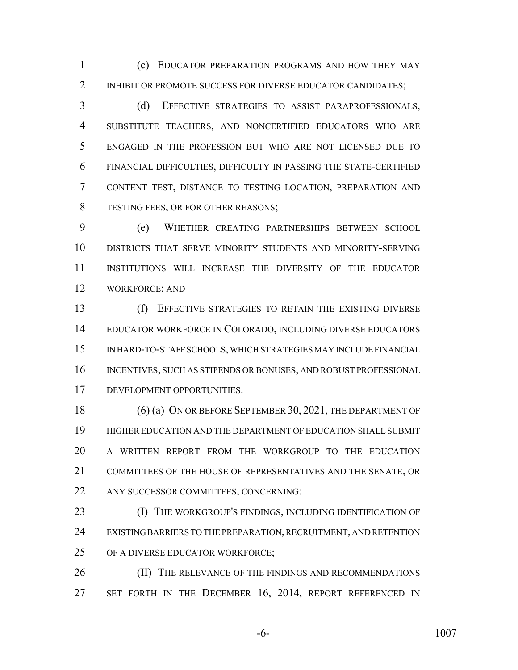(c) EDUCATOR PREPARATION PROGRAMS AND HOW THEY MAY 2 INHIBIT OR PROMOTE SUCCESS FOR DIVERSE EDUCATOR CANDIDATES;

 (d) EFFECTIVE STRATEGIES TO ASSIST PARAPROFESSIONALS, SUBSTITUTE TEACHERS, AND NONCERTIFIED EDUCATORS WHO ARE ENGAGED IN THE PROFESSION BUT WHO ARE NOT LICENSED DUE TO FINANCIAL DIFFICULTIES, DIFFICULTY IN PASSING THE STATE-CERTIFIED CONTENT TEST, DISTANCE TO TESTING LOCATION, PREPARATION AND TESTING FEES, OR FOR OTHER REASONS;

 (e) WHETHER CREATING PARTNERSHIPS BETWEEN SCHOOL DISTRICTS THAT SERVE MINORITY STUDENTS AND MINORITY-SERVING INSTITUTIONS WILL INCREASE THE DIVERSITY OF THE EDUCATOR WORKFORCE; AND

 (f) EFFECTIVE STRATEGIES TO RETAIN THE EXISTING DIVERSE EDUCATOR WORKFORCE IN COLORADO, INCLUDING DIVERSE EDUCATORS IN HARD-TO-STAFF SCHOOLS, WHICH STRATEGIES MAY INCLUDE FINANCIAL INCENTIVES, SUCH AS STIPENDS OR BONUSES, AND ROBUST PROFESSIONAL DEVELOPMENT OPPORTUNITIES.

18 (6) (a) ON OR BEFORE SEPTEMBER 30, 2021, THE DEPARTMENT OF HIGHER EDUCATION AND THE DEPARTMENT OF EDUCATION SHALL SUBMIT A WRITTEN REPORT FROM THE WORKGROUP TO THE EDUCATION COMMITTEES OF THE HOUSE OF REPRESENTATIVES AND THE SENATE, OR ANY SUCCESSOR COMMITTEES, CONCERNING:

23 (I) THE WORKGROUP'S FINDINGS, INCLUDING IDENTIFICATION OF EXISTING BARRIERS TO THE PREPARATION, RECRUITMENT, AND RETENTION OF A DIVERSE EDUCATOR WORKFORCE;

26 (II) THE RELEVANCE OF THE FINDINGS AND RECOMMENDATIONS 27 SET FORTH IN THE DECEMBER 16, 2014, REPORT REFERENCED IN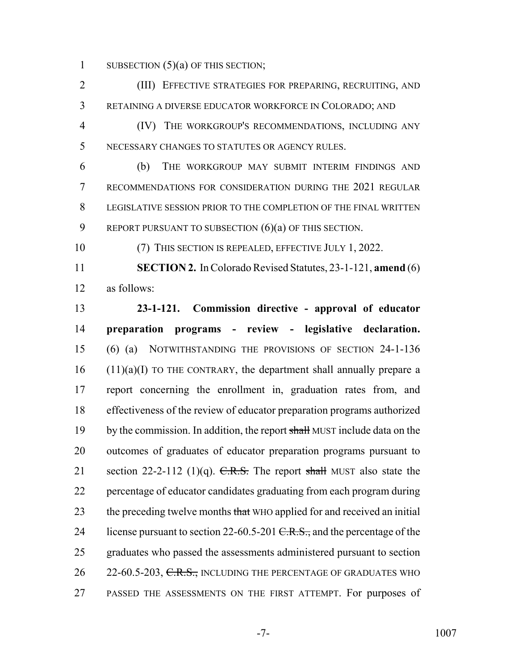1 SUBSECTION  $(5)(a)$  OF THIS SECTION;

 (III) EFFECTIVE STRATEGIES FOR PREPARING, RECRUITING, AND RETAINING A DIVERSE EDUCATOR WORKFORCE IN COLORADO; AND

 (IV) THE WORKGROUP'S RECOMMENDATIONS, INCLUDING ANY NECESSARY CHANGES TO STATUTES OR AGENCY RULES.

 (b) THE WORKGROUP MAY SUBMIT INTERIM FINDINGS AND RECOMMENDATIONS FOR CONSIDERATION DURING THE 2021 REGULAR LEGISLATIVE SESSION PRIOR TO THE COMPLETION OF THE FINAL WRITTEN 9 REPORT PURSUANT TO SUBSECTION (6)(a) OF THIS SECTION.

(7) THIS SECTION IS REPEALED, EFFECTIVE JULY 1, 2022.

 **SECTION 2.** In Colorado Revised Statutes, 23-1-121, **amend** (6) as follows:

 **23-1-121. Commission directive - approval of educator preparation programs - review - legislative declaration.** (6) (a) NOTWITHSTANDING THE PROVISIONS OF SECTION 24-1-136 (11)(a)(I) TO THE CONTRARY, the department shall annually prepare a report concerning the enrollment in, graduation rates from, and effectiveness of the review of educator preparation programs authorized 19 by the commission. In addition, the report shall MUST include data on the outcomes of graduates of educator preparation programs pursuant to 21 section 22-2-112 (1)(q).  $C.R.S.$  The report shall MUST also state the percentage of educator candidates graduating from each program during 23 the preceding twelve months that WHO applied for and received an initial 24 license pursuant to section 22-60.5-201  $C.R.S.,$  and the percentage of the graduates who passed the assessments administered pursuant to section 26 22-60.5-203, C.R.S., INCLUDING THE PERCENTAGE OF GRADUATES WHO PASSED THE ASSESSMENTS ON THE FIRST ATTEMPT. For purposes of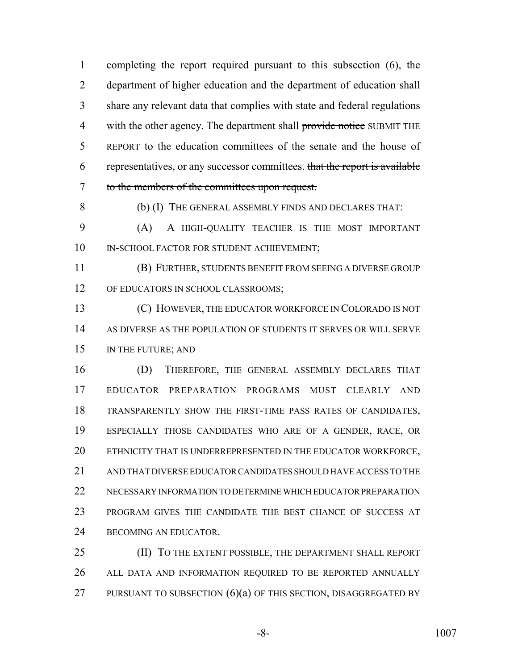completing the report required pursuant to this subsection (6), the department of higher education and the department of education shall share any relevant data that complies with state and federal regulations 4 with the other agency. The department shall provide notice SUBMIT THE REPORT to the education committees of the senate and the house of representatives, or any successor committees. that the report is available to the members of the committees upon request.

(b) (I) THE GENERAL ASSEMBLY FINDS AND DECLARES THAT:

 (A) A HIGH-QUALITY TEACHER IS THE MOST IMPORTANT 10 IN-SCHOOL FACTOR FOR STUDENT ACHIEVEMENT;

 (B) FURTHER, STUDENTS BENEFIT FROM SEEING A DIVERSE GROUP 12 OF EDUCATORS IN SCHOOL CLASSROOMS;

 (C) HOWEVER, THE EDUCATOR WORKFORCE IN COLORADO IS NOT AS DIVERSE AS THE POPULATION OF STUDENTS IT SERVES OR WILL SERVE IN THE FUTURE; AND

 (D) THEREFORE, THE GENERAL ASSEMBLY DECLARES THAT EDUCATOR PREPARATION PROGRAMS MUST CLEARLY AND TRANSPARENTLY SHOW THE FIRST-TIME PASS RATES OF CANDIDATES, ESPECIALLY THOSE CANDIDATES WHO ARE OF A GENDER, RACE, OR ETHNICITY THAT IS UNDERREPRESENTED IN THE EDUCATOR WORKFORCE, AND THAT DIVERSE EDUCATOR CANDIDATES SHOULD HAVE ACCESS TO THE NECESSARY INFORMATION TO DETERMINE WHICH EDUCATOR PREPARATION PROGRAM GIVES THE CANDIDATE THE BEST CHANCE OF SUCCESS AT BECOMING AN EDUCATOR.

 (II) TO THE EXTENT POSSIBLE, THE DEPARTMENT SHALL REPORT ALL DATA AND INFORMATION REQUIRED TO BE REPORTED ANNUALLY 27 PURSUANT TO SUBSECTION  $(6)(a)$  OF THIS SECTION, DISAGGREGATED BY